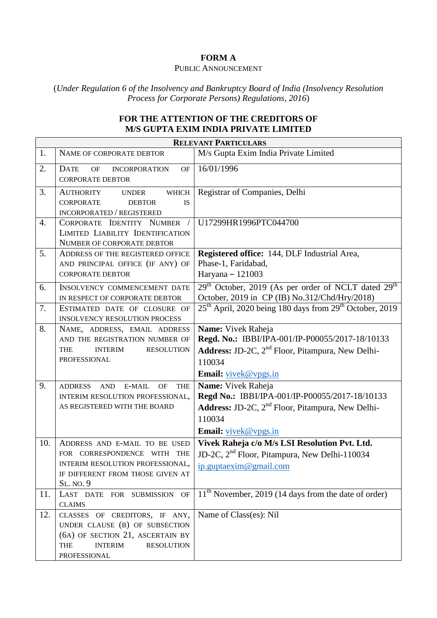## **FORM A**

## PUBLIC ANNOUNCEMENT

(*Under Regulation 6 of the Insolvency and Bankruptcy Board of India (Insolvency Resolution Process for Corporate Persons) Regulations, 2016*)

## **FOR THE ATTENTION OF THE CREDITORS OF M/S GUPTA EXIM INDIA PRIVATE LIMITED**

| <b>RELEVANT PARTICULARS</b> |                                                                                                                                                                          |                                                                                                                                                                                       |
|-----------------------------|--------------------------------------------------------------------------------------------------------------------------------------------------------------------------|---------------------------------------------------------------------------------------------------------------------------------------------------------------------------------------|
| 1.                          | NAME OF CORPORATE DEBTOR                                                                                                                                                 | M/s Gupta Exim India Private Limited                                                                                                                                                  |
| 2.                          | <b>DATE</b><br><b>OF</b><br>OF<br><b>INCORPORATION</b><br><b>CORPORATE DEBTOR</b>                                                                                        | 16/01/1996                                                                                                                                                                            |
| 3.                          | <b>WHICH</b><br><b>AUTHORITY</b><br><b>UNDER</b><br><b>CORPORATE</b><br><b>DEBTOR</b><br><b>IS</b><br><b>INCORPORATED / REGISTERED</b>                                   | Registrar of Companies, Delhi                                                                                                                                                         |
| 4.                          | CORPORATE IDENTITY NUMBER<br>LIMITED LIABILITY IDENTIFICATION<br>NUMBER OF CORPORATE DEBTOR                                                                              | U17299HR1996PTC044700                                                                                                                                                                 |
| 5.                          | ADDRESS OF THE REGISTERED OFFICE<br>AND PRINCIPAL OFFICE (IF ANY) OF<br><b>CORPORATE DEBTOR</b>                                                                          | Registered office: 144, DLF Industrial Area,<br>Phase-1, Faridabad,<br>Haryana - 121003                                                                                               |
| 6.                          | <b>INSOLVENCY COMMENCEMENT DATE</b><br>IN RESPECT OF CORPORATE DEBTOR                                                                                                    | 29 <sup>th</sup> October, 2019 (As per order of NCLT dated 29 <sup>th</sup><br>October, 2019 in CP (IB) No.312/Chd/Hry/2018)                                                          |
| 7.                          | ESTIMATED DATE OF CLOSURE OF<br><b>INSOLVENCY RESOLUTION PROCESS</b>                                                                                                     | 25 <sup>th</sup> April, 2020 being 180 days from 29 <sup>th</sup> October, 2019                                                                                                       |
| 8.                          | NAME, ADDRESS, EMAIL ADDRESS<br>AND THE REGISTRATION NUMBER OF<br><b>RESOLUTION</b><br><b>THE</b><br><b>INTERIM</b><br>PROFESSIONAL                                      | Name: Vivek Raheja<br>Regd. No.: IBBI/IPA-001/IP-P00055/2017-18/10133<br><b>Address:</b> JD-2C, 2 <sup>nd</sup> Floor, Pitampura, New Delhi-<br>110034<br><b>Email:</b> vivek@vpgs.in |
| 9.                          | <b>ADDRESS</b><br>E-MAIL<br><b>THE</b><br><b>AND</b><br>OF<br>INTERIM RESOLUTION PROFESSIONAL,<br>AS REGISTERED WITH THE BOARD                                           | Name: Vivek Raheja<br>Regd No.: IBBI/IPA-001/IP-P00055/2017-18/10133<br>Address: JD-2C, 2 <sup>nd</sup> Floor, Pitampura, New Delhi-<br>110034<br>Email: vivek@vpgs.in                |
| 10.                         | ADDRESS AND E-MAIL TO BE USED<br>FOR CORRESPONDENCE WITH<br><b>THE</b><br>INTERIM RESOLUTION PROFESSIONAL,<br>IF DIFFERENT FROM THOSE GIVEN AT<br><b>SL. NO. 9</b>       | Vivek Raheja c/o M/s LSI Resolution Pvt. Ltd.<br>JD-2C, 2 <sup>nd</sup> Floor, Pitampura, New Delhi-110034<br>ip.guptaexim@gmail.com                                                  |
| 11.                         | <b>OF</b><br>LAST DATE FOR SUBMISSION<br><b>CLAIMS</b>                                                                                                                   | $11th$ November, 2019 (14 days from the date of order)                                                                                                                                |
| 12.                         | CLASSES OF CREDITORS, IF ANY,<br>UNDER CLAUSE (B) OF SUBSECTION<br>(6A) OF SECTION 21, ASCERTAIN BY<br><b>THE</b><br><b>INTERIM</b><br><b>RESOLUTION</b><br>PROFESSIONAL | Name of Class(es): Nil                                                                                                                                                                |